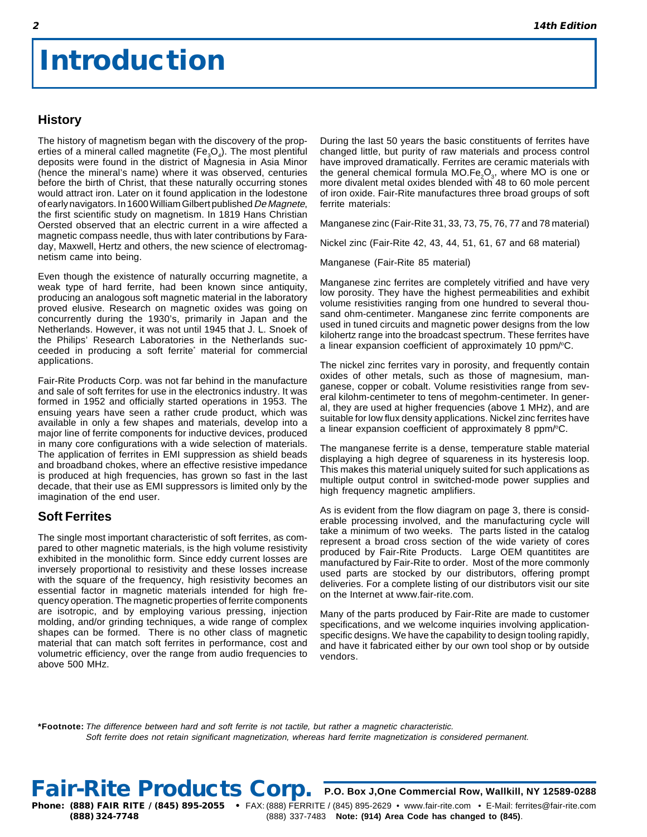## **Introduction**

## **History**

The history of magnetism began with the discovery of the properties of a mineral called magnetite (Fe<sub>3</sub>O<sub>4</sub>). The most plentiful deposits were found in the district of Magnesia in Asia Minor (hence the mineral's name) where it was observed, centuries before the birth of Christ, that these naturally occurring stones would attract iron. Later on it found application in the lodestone of early navigators. In 1600 William Gilbert published De Magnete, the first scientific study on magnetism. In 1819 Hans Christian Oersted observed that an electric current in a wire affected a magnetic compass needle, thus with later contributions by Faraday, Maxwell, Hertz and others, the new science of electromagnetism came into being.

Even though the existence of naturally occurring magnetite, a weak type of hard ferrite, had been known since antiquity, producing an analogous soft magnetic material in the laboratory proved elusive. Research on magnetic oxides was going on concurrently during the 1930's, primarily in Japan and the Netherlands. However, it was not until 1945 that J. L. Snoek of the Philips' Research Laboratories in the Netherlands succeeded in producing a soft ferrite<sup>\*</sup> material for commercial applications.

Fair-Rite Products Corp. was not far behind in the manufacture and sale of soft ferrites for use in the electronics industry. It was formed in 1952 and officially started operations in 1953. The ensuing years have seen a rather crude product, which was available in only a few shapes and materials, develop into a major line of ferrite components for inductive devices, produced in many core configurations with a wide selection of materials. The application of ferrites in EMI suppression as shield beads and broadband chokes, where an effective resistive impedance is produced at high frequencies, has grown so fast in the last decade, that their use as EMI suppressors is limited only by the imagination of the end user.

## **Soft Ferrites**

The single most important characteristic of soft ferrites, as compared to other magnetic materials, is the high volume resistivity exhibited in the monolithic form. Since eddy current losses are inversely proportional to resistivity and these losses increase with the square of the frequency, high resistivity becomes an essential factor in magnetic materials intended for high frequency operation. The magnetic properties of ferrite components are isotropic, and by employing various pressing, injection molding, and/or grinding techniques, a wide range of complex shapes can be formed. There is no other class of magnetic material that can match soft ferrites in performance, cost and volumetric efficiency, over the range from audio frequencies to above 500 MHz.

During the last 50 years the basic constituents of ferrites have changed little, but purity of raw materials and process control have improved dramatically. Ferrites are ceramic materials with the general chemical formula MO.Fe<sub>2</sub>O<sub>3</sub>, where MO is one or more divalent metal oxides blended with 48 to 60 mole percent of iron oxide. Fair-Rite manufactures three broad groups of soft ferrite materials:

Manganese zinc (Fair-Rite 31, 33, 73, 75, 76, 77 and 78 material)

Nickel zinc (Fair-Rite 42, 43, 44, 51, 61, 67 and 68 material)

Manganese (Fair-Rite 85 material)

Manganese zinc ferrites are completely vitrified and have very low porosity. They have the highest permeabilities and exhibit volume resistivities ranging from one hundred to several thousand ohm-centimeter. Manganese zinc ferrite components are used in tuned circuits and magnetic power designs from the low kilohertz range into the broadcast spectrum. These ferrites have a linear expansion coefficient of approximately 10 ppm/°C.

The nickel zinc ferrites vary in porosity, and frequently contain oxides of other metals, such as those of magnesium, manganese, copper or cobalt. Volume resistivities range from several kilohm-centimeter to tens of megohm-centimeter. In general, they are used at higher frequencies (above 1 MHz), and are suitable for low flux density applications. Nickel zinc ferrites have a linear expansion coefficient of approximately 8 ppm/ $\textdegree$ C.

The manganese ferrite is a dense, temperature stable material displaying a high degree of squareness in its hysteresis loop. This makes this material uniquely suited for such applications as multiple output control in switched-mode power supplies and high frequency magnetic amplifiers.

As is evident from the flow diagram on page 3, there is considerable processing involved, and the manufacturing cycle will take a minimum of two weeks. The parts listed in the catalog represent a broad cross section of the wide variety of cores produced by Fair-Rite Products. Large OEM quantitites are manufactured by Fair-Rite to order. Most of the more commonly used parts are stocked by our distributors, offering prompt deliveries. For a complete listing of our distributors visit our site on the Internet at www.fair-rite.com.

Many of the parts produced by Fair-Rite are made to customer specifications, and we welcome inquiries involving applicationspecific designs. We have the capability to design tooling rapidly, and have it fabricated either by our own tool shop or by outside vendors.

**\*Footnote:** The difference between hard and soft ferrite is not tactile, but rather a magnetic characteristic. Soft ferrite does not retain significant magnetization, whereas hard ferrite magnetization is considered permanent.

Fair-Rite Products Corp. P.O. Box J, One Commercial Row, Wallkill, NY 12589-0288

**Phone: (888) FAIR RITE / (845) 895-2055 •** FAX: (888) FERRITE / (845) 895-2629 • www.fair-rite.com • E-Mail: ferrites@fair-rite.com **(888) 324-7748** (888) 337-7483 **Note: (914) Area Code has changed to (845)**.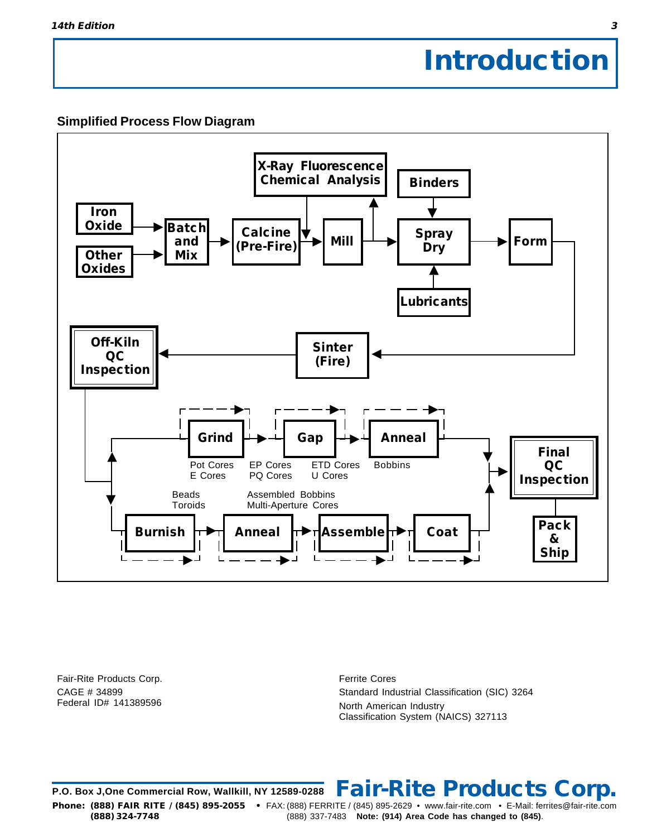## **Introduction**

## **Simplified Process Flow Diagram**



Fair-Rite Products Corp. CAGE # 34899 Federal ID# 141389596

Ferrite Cores Standard Industrial Classification (SIC) 3264 North American Industry Classification System (NAICS) 327113

**P.O. Box J,One Commercial Row, Wallkill, NY 12589-0288 Fair-Rite Products Corp. Phone: (888) FAIR RITE / (845) 895-2055 •** FAX: (888) FERRITE / (845) 895-2629 • www.fair-rite.com • E-Mail: ferrites@fair-rite.com **(888) 324-7748** (888) 337-7483 **Note: (914) Area Code has changed to (845)**.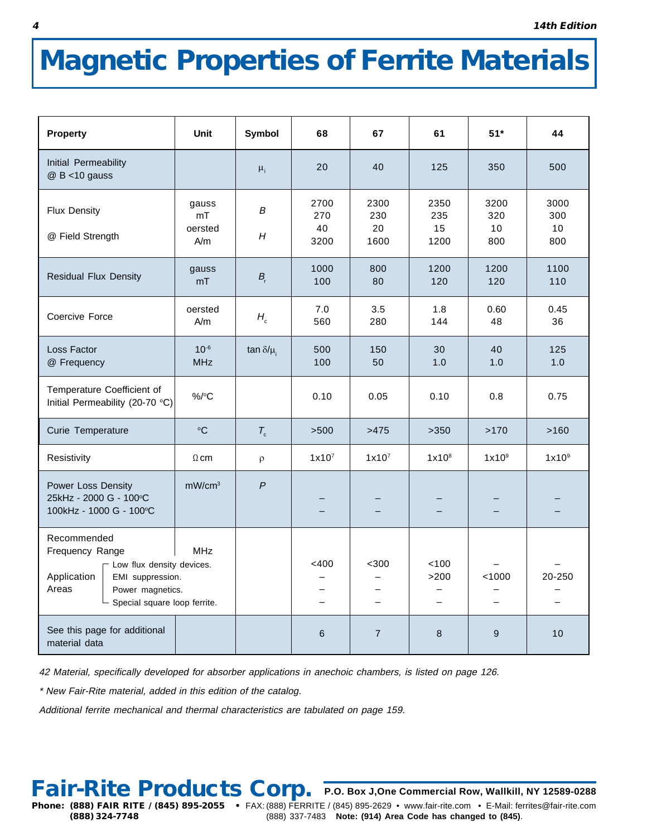# **Magnetic Properties of Ferrite Materials**

| <b>Property</b>                                                                                                                                                 | <b>Unit</b>                   | Symbol           | 68                           | 67                                | 61                               | $51*$                              | 44                       |
|-----------------------------------------------------------------------------------------------------------------------------------------------------------------|-------------------------------|------------------|------------------------------|-----------------------------------|----------------------------------|------------------------------------|--------------------------|
| Initial Permeability<br>$@$ B <10 gauss                                                                                                                         |                               | $\mu_i$          | 20                           | 40                                | 125                              | 350                                | 500                      |
| <b>Flux Density</b><br>@ Field Strength                                                                                                                         | gauss<br>mT<br>oersted<br>A/m | B<br>H           | 2700<br>270<br>40<br>3200    | 2300<br>230<br>20<br>1600         | 2350<br>235<br>15<br>1200        | 3200<br>320<br>10<br>800           | 3000<br>300<br>10<br>800 |
| <b>Residual Flux Density</b>                                                                                                                                    | gauss<br>mT                   | $B_{r}$          | 1000<br>100                  | 800<br>80                         | 1200<br>120                      | 1200<br>120                        | 1100<br>110              |
| Coercive Force                                                                                                                                                  | oersted<br>A/m                | $H_{\rm c}$      | 7.0<br>560                   | 3.5<br>280                        | 1.8<br>144                       | 0.60<br>48                         | 0.45<br>36               |
| Loss Factor<br>@ Frequency                                                                                                                                      | $10^{-6}$<br><b>MHz</b>       | tan $\delta/\mu$ | 500<br>100                   | 150<br>50                         | 30<br>1.0                        | 40<br>1.0                          | 125<br>1.0               |
| Temperature Coefficient of<br>Initial Permeability (20-70 °C)                                                                                                   | $%$ /°C                       |                  | 0.10                         | 0.05                              | 0.10                             | 0.8                                | 0.75                     |
| Curie Temperature                                                                                                                                               | $\circ$ C                     | $T_c$            | >500                         | >475                              | >350                             | >170                               | >160                     |
| Resistivity                                                                                                                                                     | $\Omega$ cm                   | $\rho$           | 1x10 <sup>7</sup>            | 1x10 <sup>7</sup>                 | 1x10 <sup>8</sup>                | 1x10 <sup>9</sup>                  | 1x10 <sup>9</sup>        |
| Power Loss Density<br>25kHz - 2000 G - 100°C<br>100kHz - 1000 G - 100°C                                                                                         | mW/cm <sup>3</sup>            | $\overline{P}$   |                              |                                   |                                  |                                    |                          |
| Recommended<br>Frequency Range<br>- Low flux density devices.<br>Application<br>EMI suppression.<br>Areas<br>Power magnetics.<br>- Special square loop ferrite. | <b>MHz</b>                    |                  | $<$ 400<br>$\qquad \qquad =$ | $300$<br>$\overline{\phantom{0}}$ | 100<br>>200<br>$\qquad \qquad =$ | < 1000<br>$\overline{\phantom{0}}$ | 20-250                   |
| See this page for additional<br>material data                                                                                                                   |                               |                  | $\,$ 6                       | $\overline{7}$                    | 8                                | $9\,$                              | 10                       |

42 Material, specifically developed for absorber applications in anechoic chambers, is listed on page 126.

\* New Fair-Rite material, added in this edition of the catalog.

Additional ferrite mechanical and thermal characteristics are tabulated on page 159.

## Fair-Rite Products Corp. P.O. Box J, One Commercial Row, Wallkill, NY 12589-0288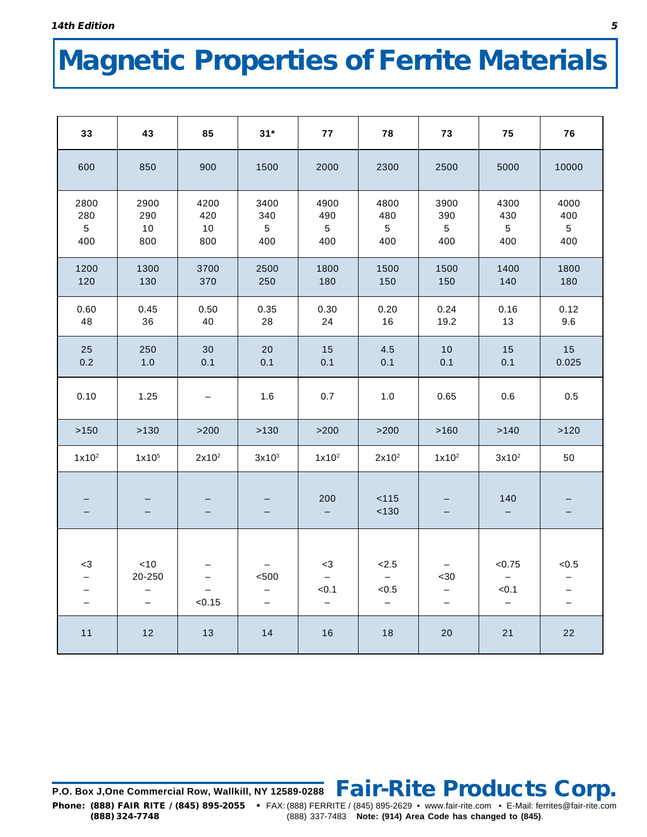# **Magnetic Properties of Ferrite Materials**

| 33                                    | 43                                        | 85                       | $31*$                                 | 77                                    | 78                                                | 73                                                           | 75                                                                      | 76                                    |
|---------------------------------------|-------------------------------------------|--------------------------|---------------------------------------|---------------------------------------|---------------------------------------------------|--------------------------------------------------------------|-------------------------------------------------------------------------|---------------------------------------|
| 600                                   | 850                                       | 900                      | 1500                                  | 2000                                  | 2300                                              | 2500                                                         | 5000                                                                    | 10000                                 |
| 2800<br>280<br>$5\phantom{.0}$<br>400 | 2900<br>290<br>10<br>800                  | 4200<br>420<br>10<br>800 | 3400<br>340<br>$5\overline{)}$<br>400 | 4900<br>490<br>$5\phantom{.0}$<br>400 | 4800<br>480<br>$5\phantom{.0}$<br>400             | 3900<br>390<br>$5\phantom{.0}$<br>400                        | 4300<br>430<br>$5\phantom{.0}$<br>400                                   | 4000<br>400<br>$5\phantom{.0}$<br>400 |
| 1200<br>120                           | 1300<br>130                               | 3700<br>370              | 2500<br>250                           | 1800<br>180                           | 1500<br>150                                       | 1500<br>150                                                  | 1400<br>140                                                             | 1800<br>180                           |
| 0.60<br>48                            | 0.45<br>36                                | 0.50<br>40               | 0.35<br>28                            | 0.30<br>24                            | 0.20<br>16                                        | 0.24<br>19.2                                                 | 0.16<br>13                                                              | 0.12<br>9.6                           |
| 25<br>0.2                             | 250<br>1.0                                | 30<br>0.1                | 20<br>0.1                             | 15<br>0.1                             | 4.5<br>0.1                                        | 10<br>0.1                                                    | 15<br>0.1                                                               | 15<br>0.025                           |
| 0.10                                  | 1.25                                      | $\qquad \qquad -$        | 1.6                                   | 0.7                                   | 1.0                                               | 0.65                                                         | 0.6                                                                     | 0.5                                   |
| >150                                  | >130                                      | $>200$                   | >130                                  | $>200$                                | $>200$                                            | $>160$                                                       | >140                                                                    | >120                                  |
| $1x10^2$                              | 1x10 <sup>5</sup>                         | 2x10 <sup>2</sup>        | 3x10 <sup>3</sup>                     | $1x10^2$                              | 2x10 <sup>2</sup>                                 | $1x10^2$                                                     | $3x10^2$                                                                | 50                                    |
|                                       |                                           |                          |                                       | 200                                   | 115<br>130                                        | $-$                                                          | 140                                                                     |                                       |
| -3<br>$\overline{\phantom{0}}$        | ~10<br>20-250<br>$\overline{\phantom{0}}$ | < 0.15                   | < 500<br>Ξ.                           | $<3\,$<br>< 0.1<br>$\qquad \qquad -$  | < 2.5<br>$-$<br>< 0.5<br>$\overline{\phantom{m}}$ | $30$<br>$\overline{\phantom{0}}$<br>$\overline{\phantom{0}}$ | < 0.75<br>$\overline{\phantom{m}}$<br>< 0.1<br>$\overline{\phantom{0}}$ | < 0.5<br>$\qquad \qquad -$            |
| 11                                    | 12                                        | 13                       | 14                                    | 16                                    | 18                                                | 20                                                           | 21                                                                      | 22                                    |

**P.O. Box J,One Commercial Row, Wallkill, NY 12589-0288 Fair-Rite Products Corp. Phone: (888) FAIR RITE / (845) 895-2055 •** FAX: (888) FERRITE / (845) 895-2629 • www.fair-rite.com • E-Mail: ferrites@fair-rite.com **(888) 324-7748** (888) 337-7483 **Note: (914) Area Code has changed to (845)**.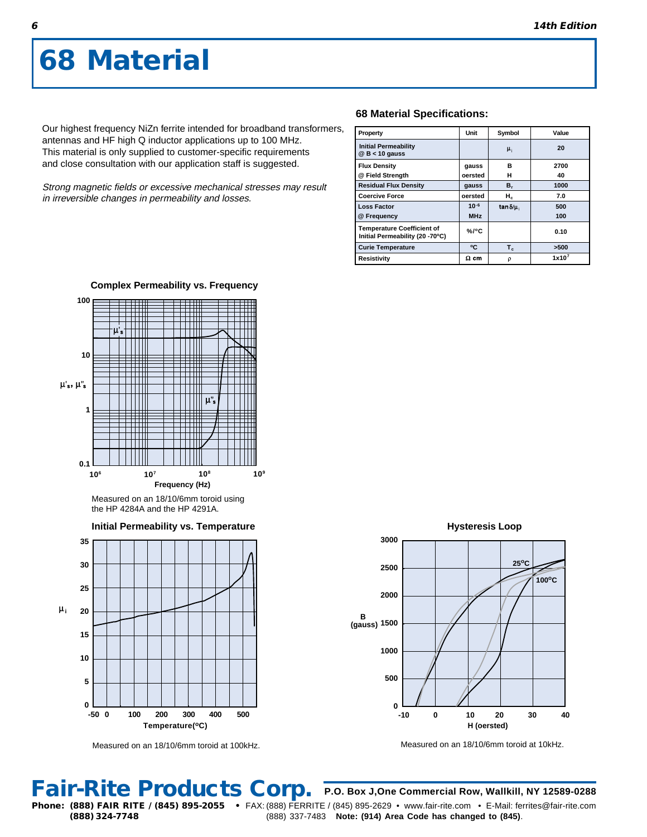Our highest frequency NiZn ferrite intended for broadband transformers, antennas and HF high Q inductor applications up to 100 MHz. This material is only supplied to customer-specific requirements and close consultation with our application staff is suggested.

Strong magnetic fields or excessive mechanical stresses may result in irreversible changes in permeability and losses.

### **68 Material Specifications:**

| Property                                                             | Unit        | Symbol           | Value    |
|----------------------------------------------------------------------|-------------|------------------|----------|
| <b>Initial Permeability</b><br>$@$ B < 10 gauss                      |             | $\mu_{1}$        | 20       |
| <b>Flux Density</b>                                                  | gauss       | в                | 2700     |
| @ Field Strength                                                     | oersted     | н                | 40       |
| <b>Residual Flux Density</b>                                         | gauss       | $B_r$            | 1000     |
| <b>Coercive Force</b>                                                | oersted     | н.               | 7.0      |
| <b>Loss Factor</b>                                                   | $10-6$      | tan $\delta/\mu$ | 500      |
| @ Frequency                                                          | <b>MHz</b>  |                  | 100      |
| <b>Temperature Coefficient of</b><br>Initial Permeability (20 -70°C) | $%$ /°C     |                  | 0.10     |
| <b>Curie Temperature</b>                                             | ۰c          | $T_c$            | >500     |
| Resistivity                                                          | $\Omega$ cm | ρ                | $1x10^7$ |



**Complex Permeability vs. Frequency**

Measured on an 18/10/6mm toroid using the HP 4284A and the HP 4291A.





Measured on an 18/10/6mm toroid at 100kHz.



Measured on an 18/10/6mm toroid at 10kHz.

## **Fair-Rite Products Corp.**

**(888) 324-7748** (888) 337-7483 **Note: (914) Area Code has changed to (845)**.

**P.O. Box J,One Commercial Row, Wallkill, NY 12589-0288 Phone: (888) FAIR RITE / (845) 895-2055 •** FAX: (888) FERRITE / (845) 895-2629 • www.fair-rite.com • E-Mail: ferrites@fair-rite.com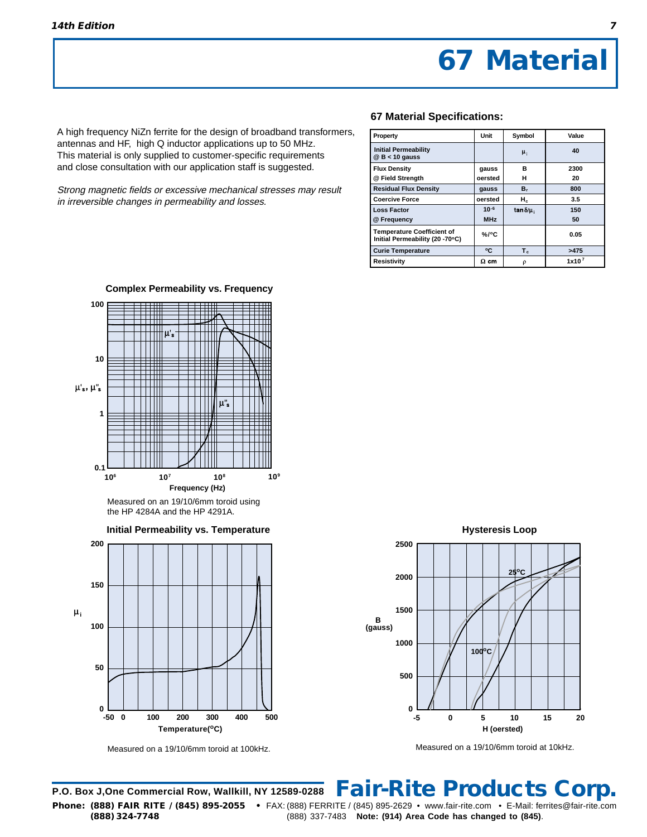A high frequency NiZn ferrite for the design of broadband transformers, antennas and HF, high Q inductor applications up to 50 MHz. This material is only supplied to customer-specific requirements and close consultation with our application staff is suggested.

Strong magnetic fields or excessive mechanical stresses may result in irreversible changes in permeability and losses.

### **67 Material Specifications:**

| Property                                                             | Unit        | Symbol            | Value             |
|----------------------------------------------------------------------|-------------|-------------------|-------------------|
| <b>Initial Permeability</b><br>$@$ B < 10 gauss                      |             | $\mu_{1}$         | 40                |
| <b>Flux Density</b>                                                  | gauss       | в                 | 2300              |
| @ Field Strength                                                     | oersted     | н                 | 20                |
| <b>Residual Flux Density</b>                                         | gauss       | в,                | 800               |
| <b>Coercive Force</b>                                                | oersted     | $H_c$             | 3.5               |
| <b>Loss Factor</b>                                                   | $10-6$      | $\tan \delta/\mu$ | 150               |
| @ Frequency                                                          | <b>MHz</b>  |                   | 50                |
| <b>Temperature Coefficient of</b><br>Initial Permeability (20 -70°C) | $\%$ /°C    |                   | 0.05              |
| <b>Curie Temperature</b>                                             | ٥C          | $T_c$             | >475              |
| Resistivity                                                          | $\Omega$ cm | ρ                 | 1x10 <sup>7</sup> |



**Complex Permeability vs. Frequency**

Measured on an 19/10/6mm toroid using the HP 4284A and the HP 4291A.





Measured on a 19/10/6mm toroid at 100kHz.

**Hysteresis Loop H (oersted) B (gauss) 2500 2000 1500 1000 500**  $0 \perp$ <br>-5 **-5 0 5 10 15 20 25oC 100oC**

Measured on a 19/10/6mm toroid at 10kHz.

**P.O. Box J,One Commercial Row, Wallkill, NY 12589-0288 Phone: (888) FAIR RITE / (845) 895-2055 •** FAX: (888) FERRITE / (845) 895-2629 • www.fair-rite.com • E-Mail: ferrites@fair-rite.com **(888) 324-7748** (888) 337-7483 **Note: (914) Area Code has changed to (845)**. **Fair-Rite Products Corp.**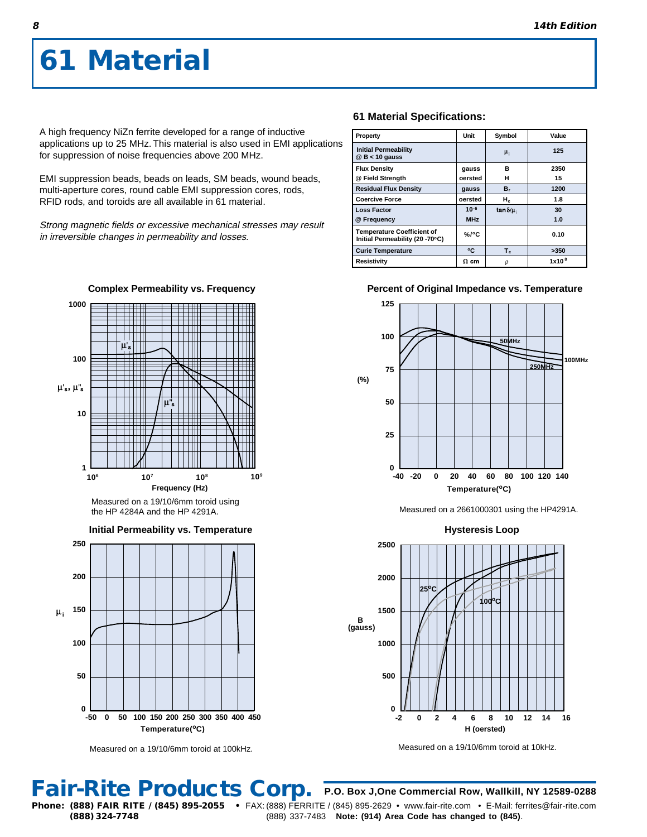A high frequency NiZn ferrite developed for a range of inductive applications up to 25 MHz. This material is also used in EMI applications for suppression of noise frequencies above 200 MHz.

EMI suppression beads, beads on leads, SM beads, wound beads, multi-aperture cores, round cable EMI suppression cores, rods, RFID rods, and toroids are all available in 61 material.

Strong magnetic fields or excessive mechanical stresses may result in irreversible changes in permeability and losses.



the HP 4284A and the HP 4291A.

**Initial Permeability vs. Temperature**



Measured on a 19/10/6mm toroid at 100kHz.

### **61 Material Specifications:**

| Property                                                             | Unit        | Symbol           | Value             |
|----------------------------------------------------------------------|-------------|------------------|-------------------|
| <b>Initial Permeability</b><br>$@$ B < 10 gauss                      |             | $\mu_i$          | 125               |
| <b>Flux Density</b>                                                  | gauss       | R                | 2350              |
| @ Field Strength                                                     | oersted     | н                | 15                |
| <b>Residual Flux Density</b>                                         | gauss       | в,               | 1200              |
| <b>Coercive Force</b>                                                | oersted     | н.               | 1.8               |
| <b>Loss Factor</b>                                                   | $10-6$      | tan $\delta/\mu$ | 30                |
| @ Frequency                                                          | <b>MHz</b>  |                  | 1.0               |
| <b>Temperature Coefficient of</b><br>Initial Permeability (20 -70°C) | %/°C        |                  | 0.10              |
| <b>Curie Temperature</b>                                             | ۰C          | $T_c$            | >350              |
| Resistivity                                                          | $\Omega$ cm | ρ                | 1x10 <sup>8</sup> |

### **Percent of Original Impedance vs. Temperature**



Measured on a 2661000301 using the HP4291A.



Measured on a 19/10/6mm toroid at 10kHz.

**Fair-Rite Products Corp.**

**8**

**P.O. Box J,One Commercial Row, Wallkill, NY 12589-0288 Phone: (888) FAIR RITE / (845) 895-2055 •** FAX: (888) FERRITE / (845) 895-2629 • www.fair-rite.com • E-Mail: ferrites@fair-rite.com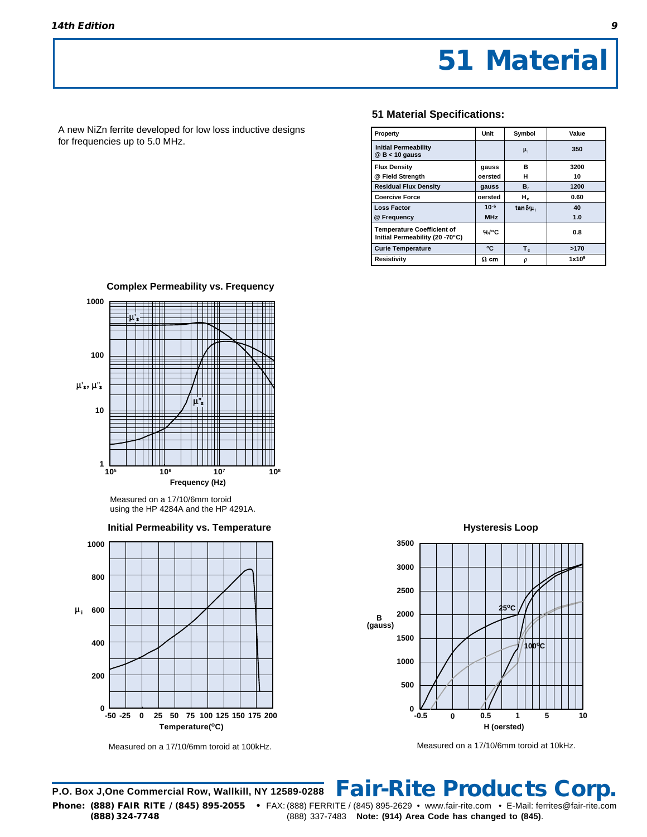A new NiZn ferrite developed for low loss inductive designs for frequencies up to 5.0 MHz.

### **51 Material Specifications:**

| Property                                                             | Unit        | Symbol             | Value             |
|----------------------------------------------------------------------|-------------|--------------------|-------------------|
| <b>Initial Permeability</b><br>$@$ B < 10 gauss                      |             | $\mu_i$            | 350               |
| <b>Flux Density</b>                                                  | gauss       | в                  | 3200              |
| @ Field Strength                                                     | oersted     | н                  | 10                |
| <b>Residual Flux Density</b>                                         | gauss       | $B_r$              | 1200              |
| <b>Coercive Force</b>                                                | oersted     | н.                 | 0.60              |
| <b>Loss Factor</b>                                                   | $10^{-6}$   | tan $\delta/\mu_i$ | 40                |
| @ Frequency                                                          | <b>MHz</b>  |                    | 1.0               |
| <b>Temperature Coefficient of</b><br>Initial Permeability (20 -70°C) | $%$ /°C     |                    | 0.8               |
| <b>Curie Temperature</b>                                             | °C          | $T_c$              | >170              |
| Resistivity                                                          | $\Omega$ cm | ρ                  | 1x10 <sup>9</sup> |



**Complex Permeability vs. Frequency**

**Initial Permeability vs. Temperature**



Measured on a 17/10/6mm toroid at 100kHz.

**Hysteresis Loop**



Measured on a 17/10/6mm toroid at 10kHz.

**P.O. Box J,One Commercial Row, Wallkill, NY 12589-0288 Phone: (888) FAIR RITE / (845) 895-2055 •** FAX: (888) FERRITE / (845) 895-2629 • www.fair-rite.com • E-Mail: ferrites@fair-rite.com **Fair-Rite Products Corp.**

Measured on a 17/10/6mm toroid using the HP 4284A and the HP 4291A.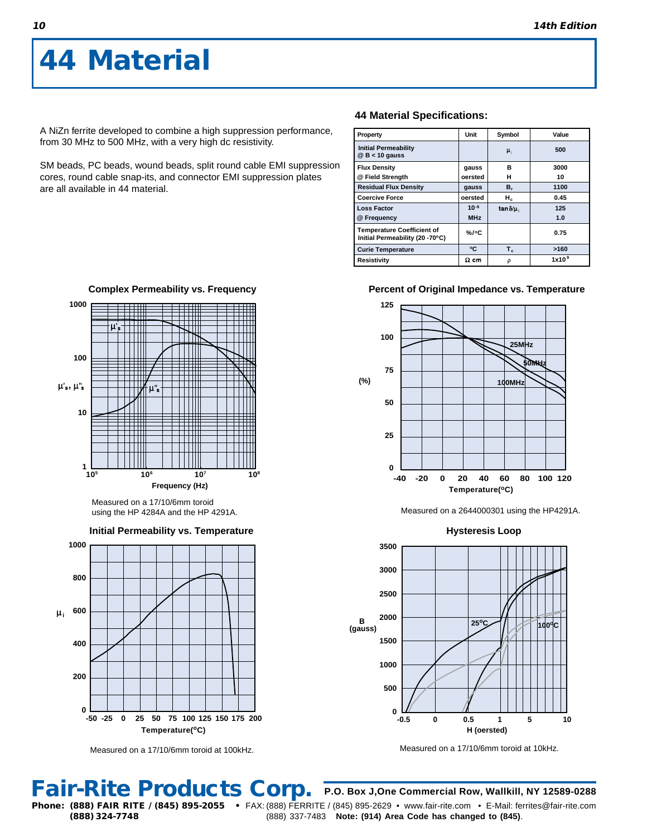**1000**

A NiZn ferrite developed to combine a high suppression performance, from 30 MHz to 500 MHz, with a very high dc resistivity.

SM beads, PC beads, wound beads, split round cable EMI suppression cores, round cable snap-its, and connector EMI suppression plates are all available in 44 material.

### **44 Material Specifications:**

| Property                                                             | Unit        | Symbol           | Value             |
|----------------------------------------------------------------------|-------------|------------------|-------------------|
| <b>Initial Permeability</b><br>$@$ B < 10 gauss                      |             | $\mu_i$          | 500               |
| <b>Flux Density</b>                                                  | gauss       | в                | 3000              |
| @ Field Strength                                                     | oersted     | н                | 10                |
| <b>Residual Flux Density</b>                                         | gauss       | в,               | 1100              |
| <b>Coercive Force</b>                                                | oersted     | н.               | 0.45              |
| <b>Loss Factor</b>                                                   | $10^{-6}$   | tan $\delta/\mu$ | 125               |
| @ Frequency                                                          | <b>MHz</b>  |                  | 1.0               |
| <b>Temperature Coefficient of</b><br>Initial Permeability (20 -70°C) | $\%$ /°C    |                  | 0.75              |
| <b>Curie Temperature</b>                                             | ۰c          | $T_c$            | >160              |
| Resistivity                                                          | $\Omega$ cm | ρ                | 1x10 <sup>9</sup> |

### **Percent of Original Impedance vs. Temperature**



Measured on a 2644000301 using the HP4291A.

**Hysteresis Loop H (oersted) B (gauss) -0.5 0 0.5 1 10 3500 3000 2500 2000 1500 1000 500**  $^{0}$   $^{11}$ <br>-0.5 **<sup>25</sup>oC <sup>100</sup>oC 5**

Measured on a 17/10/6mm toroid at 10kHz.

**Fair-Rite Products Corp.**

Measured on a 17/10/6mm toroid at 100kHz. **Temperature(oC)**

 $\blacksquare$ **100**  $\mu_s, \mu_s$ **10** H **1 105 106 107 108 Frequency (Hz)**

**Complex Permeability vs. Frequency**

using the HP 4284A and the HP 4291A.



Measured on a 17/10/6mm toroid

**Initial Permeability vs. Temperature**

**P.O. Box J,One Commercial Row, Wallkill, NY 12589-0288**

**(888) 324-7748** (888) 337-7483 **Note: (914) Area Code has changed to (845)**.

**Phone: (888) FAIR RITE / (845) 895-2055 •** FAX: (888) FERRITE / (845) 895-2629 • www.fair-rite.com • E-Mail: ferrites@fair-rite.com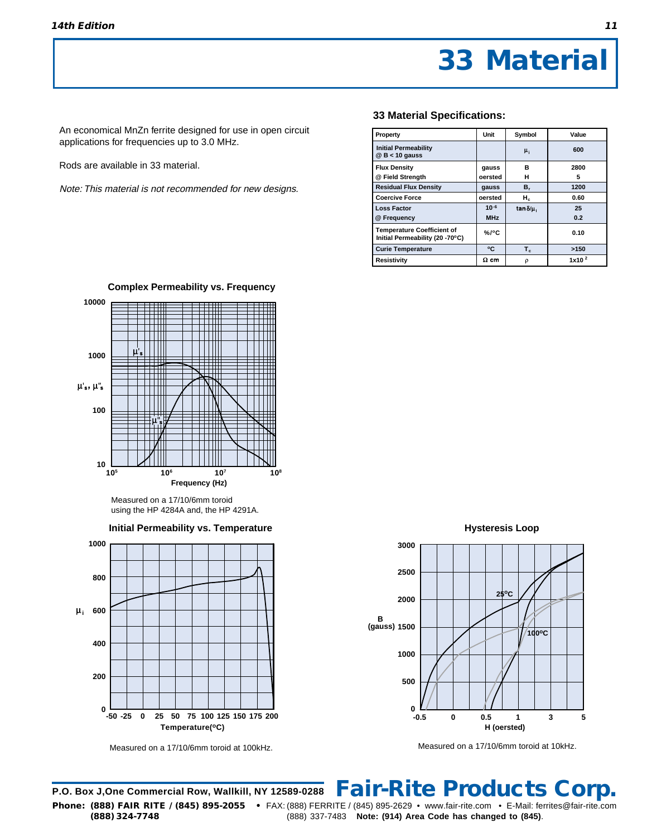An economical MnZn ferrite designed for use in open circuit applications for frequencies up to 3.0 MHz.

Rods are available in 33 material.

Note: This material is not recommended for new designs.

### **33 Material Specifications:**

| Property                                                             | Unit        | Symbol             | Value             |
|----------------------------------------------------------------------|-------------|--------------------|-------------------|
| <b>Initial Permeability</b><br>$@$ B < 10 gauss                      |             | $\mu_i$            | 600               |
| <b>Flux Density</b>                                                  | gauss       | в                  | 2800              |
| @ Field Strength                                                     | oersted     | н                  | 5                 |
| <b>Residual Flux Density</b>                                         | gauss       | $B_r$              | 1200              |
| <b>Coercive Force</b>                                                | oersted     | $H_c$              | 0.60              |
| <b>Loss Factor</b>                                                   | $10^{-6}$   | tan $\delta/\mu_i$ | 25                |
| @ Frequency                                                          | <b>MHz</b>  |                    | 0.2               |
| <b>Temperature Coefficient of</b><br>Initial Permeability (20 -70°C) | $%$ /°C     |                    | 0.10              |
| <b>Curie Temperature</b>                                             | ۰c          | $T_c$              | >150              |
| <b>Resistivity</b>                                                   | $\Omega$ cm | ρ                  | 1x10 <sup>2</sup> |



Measured on a 17/10/6mm toroid using the HP 4284A and, the HP 4291A.



Measured on a 17/10/6mm toroid at 100kHz.

**Hysteresis Loop**



Measured on a 17/10/6mm toroid at 10kHz.

**P.O. Box J,One Commercial Row, Wallkill, NY 12589-0288 Phone: (888) FAIR RITE / (845) 895-2055 •** FAX: (888) FERRITE / (845) 895-2629 • www.fair-rite.com • E-Mail: ferrites@fair-rite.com **(888) 324-7748** (888) 337-7483 **Note: (914) Area Code has changed to (845)**. **Fair-Rite Products Corp.**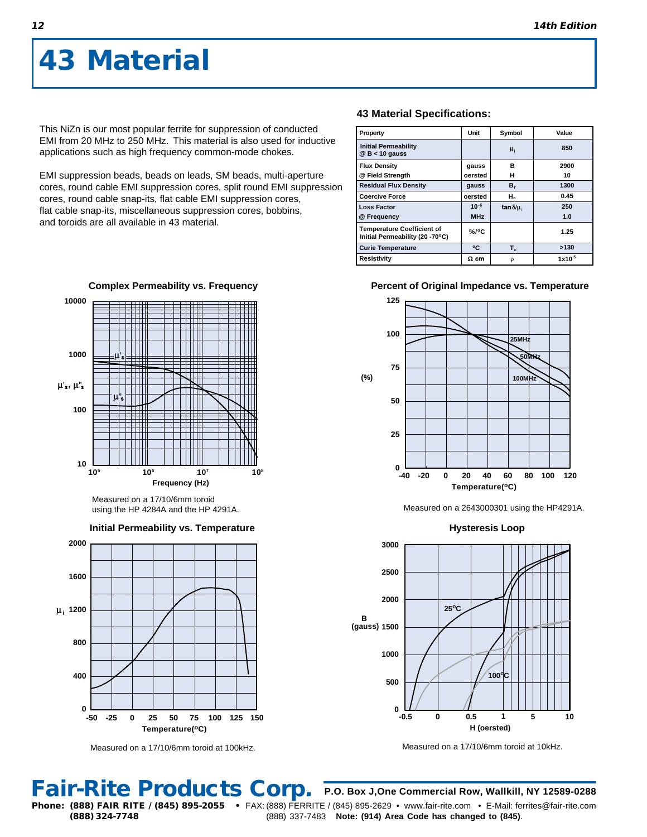This NiZn is our most popular ferrite for suppression of conducted EMI from 20 MHz to 250 MHz. This material is also used for inductive applications such as high frequency common-mode chokes.

EMI suppression beads, beads on leads, SM beads, multi-aperture cores, round cable EMI suppression cores, split round EMI suppression cores, round cable snap-its, flat cable EMI suppression cores, flat cable snap-its, miscellaneous suppression cores, bobbins, and toroids are all available in 43 material.

**Complex Permeability vs. Frequency**

**Frequency (Hz)**

**106 107**

**Initial Permeability vs. Temperature**

Measured on a 17/10/6mm toroid using the HP 4284A and the HP 4291A.



| Property                                                             | Unit        | Symbol            | Value             |
|----------------------------------------------------------------------|-------------|-------------------|-------------------|
| <b>Initial Permeability</b><br>$@$ B < 10 gauss                      |             | μ,                | 850               |
| <b>Flux Density</b>                                                  | gauss       | в                 | 2900              |
| @ Field Strength                                                     | oersted     | н                 | 10                |
| <b>Residual Flux Density</b>                                         | gauss       | в,                | 1300              |
| <b>Coercive Force</b>                                                | oersted     | $H_c$             | 0.45              |
| <b>Loss Factor</b>                                                   | $10^{-6}$   | $\tan \delta/\mu$ | 250               |
| @ Frequency                                                          | <b>MHz</b>  |                   | 1.0               |
| <b>Temperature Coefficient of</b><br>Initial Permeability (20 -70°C) | $%$ /°C     |                   | 1.25              |
| <b>Curie Temperature</b>                                             | ۰c          | $T_c$             | >130              |
| Resistivity                                                          | $\Omega$ cm | ρ                 | 1x10 <sup>5</sup> |

### **Percent of Original Impedance vs. Temperature**



Measured on a 2643000301 using the HP4291A.

**Hysteresis Loop**



Measured on a 17/10/6mm toroid at 10kHz.

**Fair-Rite Products Corp.**

Measured on a 17/10/6mm toroid at 100kHz.

**Temperature(oC)**

**(888) 324-7748** (888) 337-7483 **Note: (914) Area Code has changed to (845)**.

**P.O. Box J,One Commercial Row, Wallkill, NY 12589-0288 Phone: (888) FAIR RITE / (845) 895-2055 •** FAX: (888) FERRITE / (845) 895-2629 • www.fair-rite.com • E-Mail: ferrites@fair-rite.com

**10**

**i 1200**

**800**

**400**

ــا 0<br>50-

**2000**

**1600**

**105**

**100**

**1000**

 $\mu$ 's,  $\mu$ "s

**10000**

**12**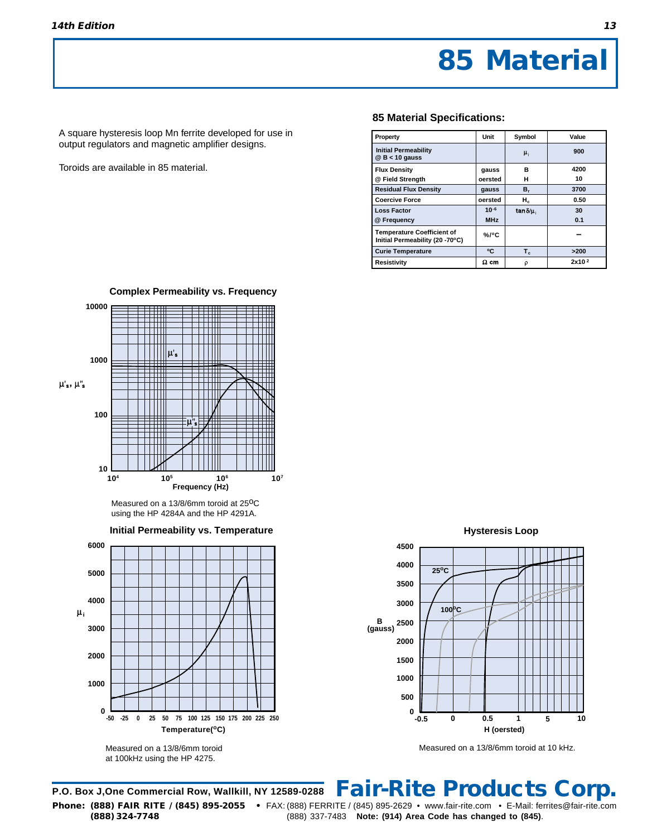A square hysteresis loop Mn ferrite developed for use in output regulators and magnetic amplifier designs.

Toroids are available in 85 material.

### **85 Material Specifications:**

| Property                                                             | Unit        | Symbol            | Value             |
|----------------------------------------------------------------------|-------------|-------------------|-------------------|
| <b>Initial Permeability</b><br>$@$ B < 10 gauss                      |             | $\mu_i$           | 900               |
| <b>Flux Density</b>                                                  | gauss       | B                 | 4200              |
| @ Field Strength                                                     | oersted     | н                 | 10                |
| <b>Residual Flux Density</b>                                         | gauss       | в,                | 3700              |
| <b>Coercive Force</b>                                                | oersted     | $H_c$             | 0.50              |
| <b>Loss Factor</b>                                                   | $10^{-6}$   | $\tan \delta/\mu$ | 30                |
| @ Frequency                                                          | <b>MHz</b>  |                   | 0.1               |
| <b>Temperature Coefficient of</b><br>Initial Permeability (20 -70°C) | $%$ /°C     |                   |                   |
| <b>Curie Temperature</b>                                             | ۰c          | $T_c$             | >200              |
| <b>Resistivity</b>                                                   | $\Omega$ cm | ρ                 | 2x10 <sup>2</sup> |



**Complex Permeability vs. Frequency**

Measured on a 13/8/6mm toroid at 25<sup>o</sup>C using the HP 4284A and the HP 4291A.



Measured on a 13/8/6mm toroid at 100kHz using the HP 4275.

**Hysteresis Loop**



Measured on a 13/8/6mm toroid at 10 kHz.

### **P.O. Box J,One Commercial Row, Wallkill, NY 12589-0288 Phone: (888) FAIR RITE / (845) 895-2055 •** FAX: (888) FERRITE / (845) 895-2629 • www.fair-rite.com • E-Mail: ferrites@fair-rite.com **(888) 324-7748** (888) 337-7483 **Note: (914) Area Code has changed to (845)**. **Fair-Rite Products Corp.**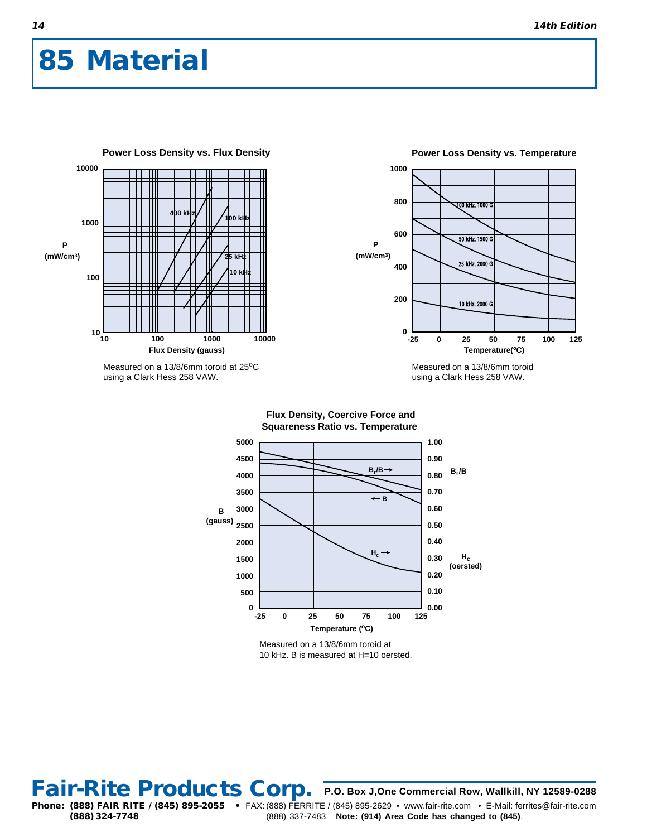

Measured on a 13/8/6mm toroid at 25°C using a Clark Hess 258 VAW.



Measured on a 13/8/6mm toroid using a Clark Hess 258 VAW.



**Flux Density, Coercive Force and**

Measured on a 13/8/6mm toroid at 10 kHz. B is measured at H=10 oersted.

### **14**

Fair-Rite Products Corp. P.O. Box J, One Commercial Row, Wallkill, NY 12589-0288 **Phone: (888) FAIR RITE / (845) 895-2055 •** FAX: (888) FERRITE / (845) 895-2629 • www.fair-rite.com • E-Mail: ferrites@fair-rite.com **(888) 324-7748** (888) 337-7483 **Note: (914) Area Code has changed to (845)**.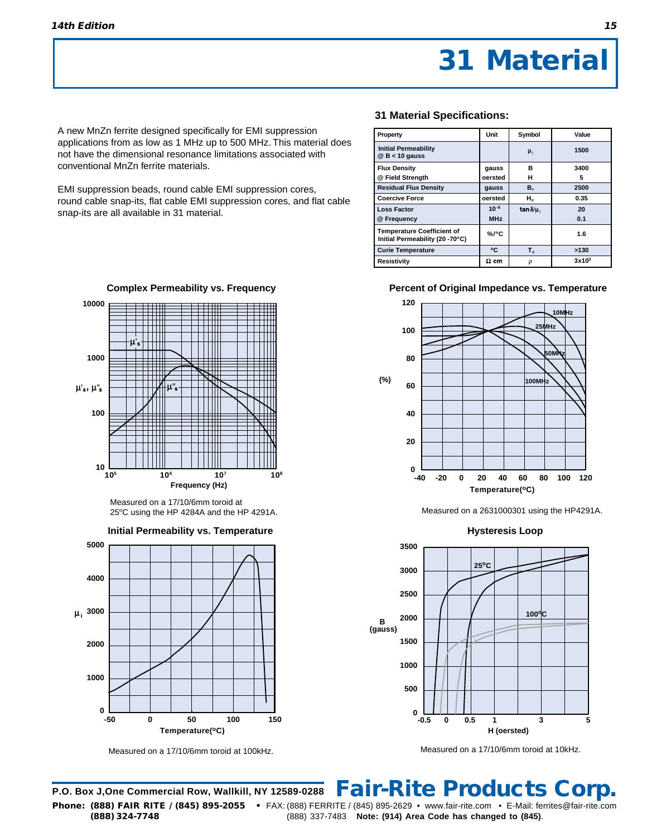A new MnZn ferrite designed specifically for EMI suppression applications from as low as 1 MHz up to 500 MHz. This material does not have the dimensional resonance limitations associated with conventional MnZn ferrite materials.

EMI suppression beads, round cable EMI suppression cores, round cable snap-its, flat cable EMI suppression cores, and flat cable snap-its are all available in 31 material.



**31 Material Specifications:**

| Property                                                             | Unit        | Symbol           | Value    |
|----------------------------------------------------------------------|-------------|------------------|----------|
| <b>Initial Permeability</b><br>$@$ B < 10 gauss                      |             | $\mu_{i}$        | 1500     |
| <b>Flux Density</b>                                                  | gauss       | в                | 3400     |
| @ Field Strength                                                     | oersted     | н                | 5        |
| <b>Residual Flux Density</b>                                         | gauss       | в,               | 2500     |
| <b>Coercive Force</b>                                                | oersted     | $H_c$            | 0.35     |
| <b>Loss Factor</b>                                                   | $10^{-6}$   | tan $\delta/\mu$ | 20       |
| @ Frequency                                                          | <b>MHz</b>  |                  | 0.1      |
| <b>Temperature Coefficient of</b><br>Initial Permeability (20 -70°C) | $%$ /°C     |                  | 1.6      |
| <b>Curie Temperature</b>                                             | ۰c          | $T_c$            | >130     |
| Resistivitv                                                          | $\Omega$ cm | ρ                | $3x10^3$ |

### **Percent of Original Impedance vs. Temperature**



Measured on a 2631000301 using the HP4291A.

**Hysteresis Loop**



Measured on a 17/10/6mm toroid at 10kHz.



Measured on a 17/10/6mm toroid at 25°C using the HP 4284A and the HP 4291A.



Measured on a 17/10/6mm toroid at 100kHz.

### **P.O. Box J,One Commercial Row, Wallkill, NY 12589-0288 Fair-Rite Products Corp.**

**Phone: (888) FAIR RITE / (845) 895-2055 •** FAX: (888) FERRITE / (845) 895-2629 • www.fair-rite.com • E-Mail: ferrites@fair-rite.com **(888) 324-7748** (888) 337-7483 **Note: (914) Area Code has changed to (845)**.

**Complex Permeability vs. Frequency**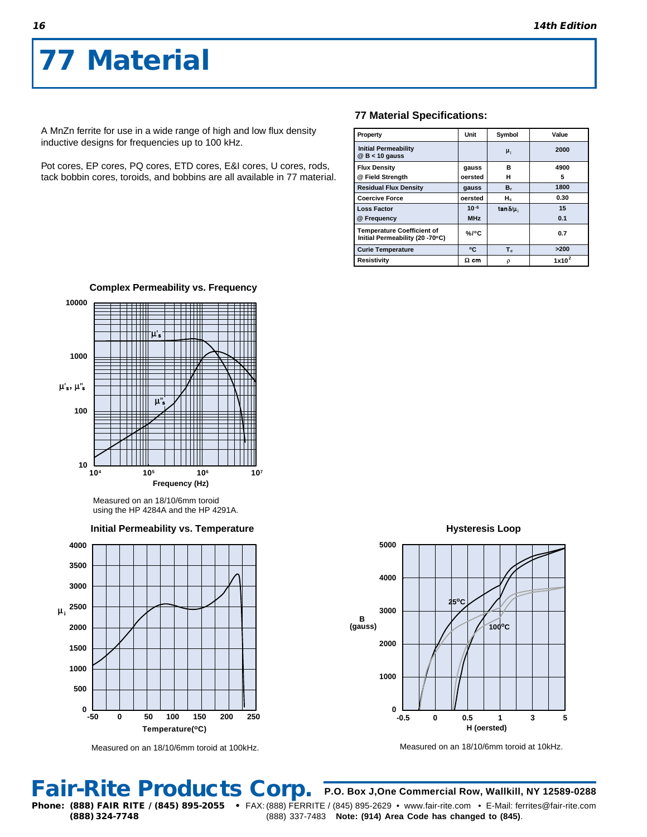A MnZn ferrite for use in a wide range of high and low flux density inductive designs for frequencies up to 100 kHz.

Pot cores, EP cores, PQ cores, ETD cores, E&I cores, U cores, rods, tack bobbin cores, toroids, and bobbins are all available in 77 material.

### **77 Material Specifications:**

| Property                                                             | Unit        | Symbol             | Value    |
|----------------------------------------------------------------------|-------------|--------------------|----------|
| <b>Initial Permeability</b><br>$@$ B < 10 gauss                      |             | μ,                 | 2000     |
| <b>Flux Density</b>                                                  | gauss       | в                  | 4900     |
| @ Field Strength                                                     | oersted     | н                  | 5        |
| <b>Residual Flux Density</b>                                         | gauss       | $B_r$              | 1800     |
| <b>Coercive Force</b>                                                | oersted     | $H_c$              | 0.30     |
| <b>Loss Factor</b>                                                   | $10^{-6}$   | tan $\delta/\mu_i$ | 15       |
| @ Frequency                                                          | <b>MHz</b>  |                    | 0.1      |
| <b>Temperature Coefficient of</b><br>Initial Permeability (20 -70°C) | $%$ /°C     |                    | 0.7      |
| <b>Curie Temperature</b>                                             | ۰c          | $T_c$              | >200     |
| <b>Resistivity</b>                                                   | $\Omega$ cm | ρ                  | $1x10^2$ |



Measured on an 18/10/6mm toroid using the HP 4284A and the HP 4291A.





Measured on an 18/10/6mm toroid at 100kHz.

**Hysteresis Loop**



Measured on an 18/10/6mm toroid at 10kHz.

**P.O. Box J,One Commercial Row, Wallkill, NY 12589-0288**

**Phone: (888) FAIR RITE / (845) 895-2055 •** FAX: (888) FERRITE / (845) 895-2629 • www.fair-rite.com • E-Mail: ferrites@fair-rite.com **Fair-Rite Products Corp.**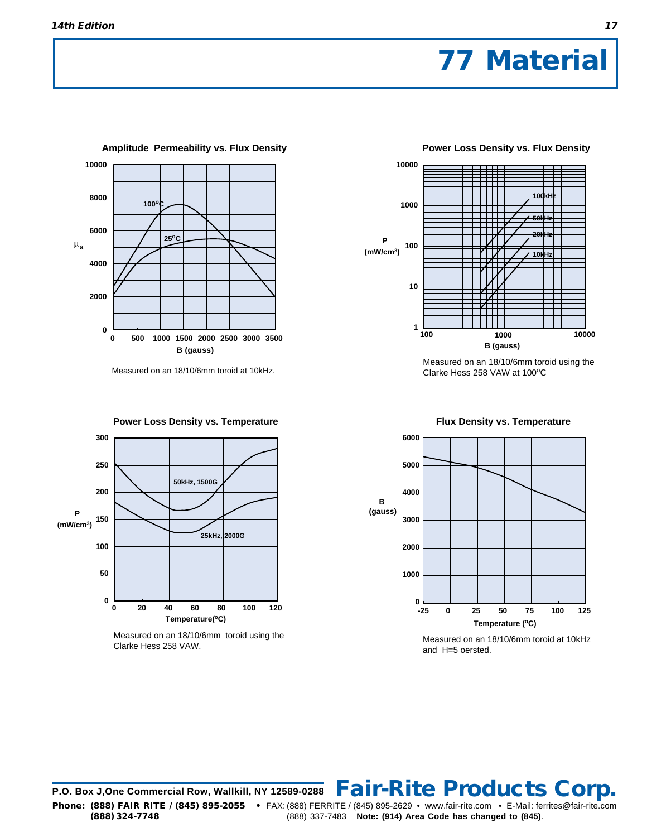

Measured on an 18/10/6mm toroid at 10kHz.



Measured on an 18/10/6mm toroid using the Clarke Hess 258 VAW.



Measured on an 18/10/6mm toroid using the Clarke Hess 258 VAW at 100°C

 **Flux Density vs. Temperature** 



Measured on an 18/10/6mm toroid at 10kHz and H=5 oersted.

**P.O. Box J,One Commercial Row, Wallkill, NY 12589-0288 Fair-Rite Products Corp. Phone: (888) FAIR RITE / (845) 895-2055 •** FAX: (888) FERRITE / (845) 895-2629 • www.fair-rite.com • E-Mail: ferrites@fair-rite.com **(888) 324-7748** (888) 337-7483 **Note: (914) Area Code has changed to (845)**.

 **Power Loss Density vs. Flux Density**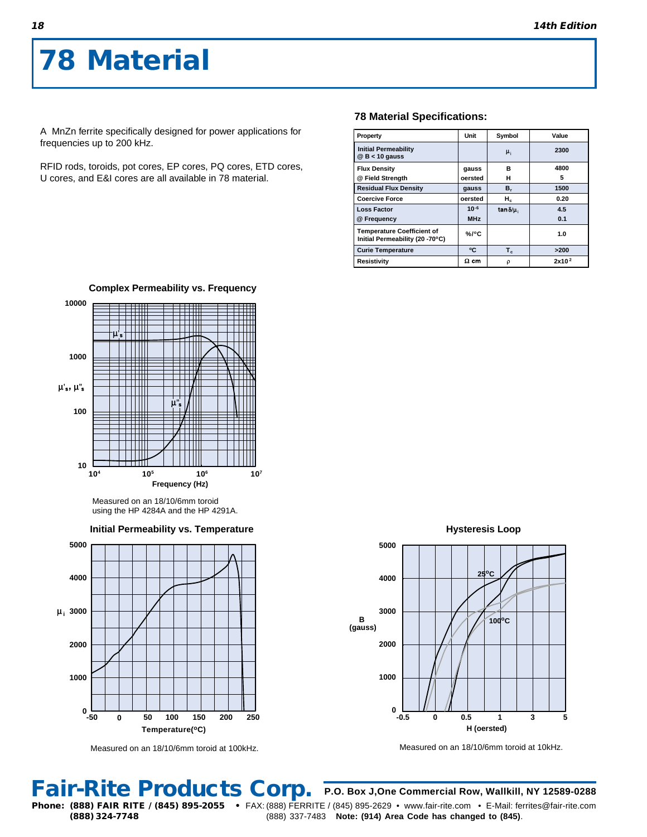A MnZn ferrite specifically designed for power applications for frequencies up to 200 kHz.

RFID rods, toroids, pot cores, EP cores, PQ cores, ETD cores, U cores, and E&I cores are all available in 78 material.

**Complex Permeability vs. Frequency**

### **78 Material Specifications:**

| Property                                                             | Unit        | Symbol               | Value             |
|----------------------------------------------------------------------|-------------|----------------------|-------------------|
| <b>Initial Permeability</b><br>$@$ B < 10 gauss                      |             | $\mu_i$              | 2300              |
| <b>Flux Density</b>                                                  | gauss       | в                    | 4800              |
| @ Field Strength                                                     | oersted     | н                    | 5                 |
| <b>Residual Flux Density</b>                                         | gauss       | в,                   | 1500              |
| <b>Coercive Force</b>                                                | oersted     | $H_c$                | 0.20              |
| <b>Loss Factor</b>                                                   | $10-6$      | $tan \delta / \mu$ . | 4.5               |
| @ Frequency                                                          | <b>MHz</b>  |                      | 0.1               |
| <b>Temperature Coefficient of</b><br>Initial Permeability (20 -70°C) | $% /$ °C    |                      | 1.0               |
| <b>Curie Temperature</b>                                             | ۰c          | $T_c$                | >200              |
| Resistivity                                                          | $\Omega$ cm | ρ                    | 2x10 <sup>2</sup> |



Measured on an 18/10/6mm toroid

using the HP 4284A and the HP 4291A.



Measured on an 18/10/6mm toroid at 100kHz.

**Hysteresis Loop**



Measured on an 18/10/6mm toroid at 10kHz.

**P.O. Box J,One Commercial Row, Wallkill, NY 12589-0288**

**Fair-Rite Products Corp.**

**Phone: (888) FAIR RITE / (845) 895-2055 •** FAX: (888) FERRITE / (845) 895-2629 • www.fair-rite.com • E-Mail: ferrites@fair-rite.com **(888) 324-7748** (888) 337-7483 **Note: (914) Area Code has changed to (845)**.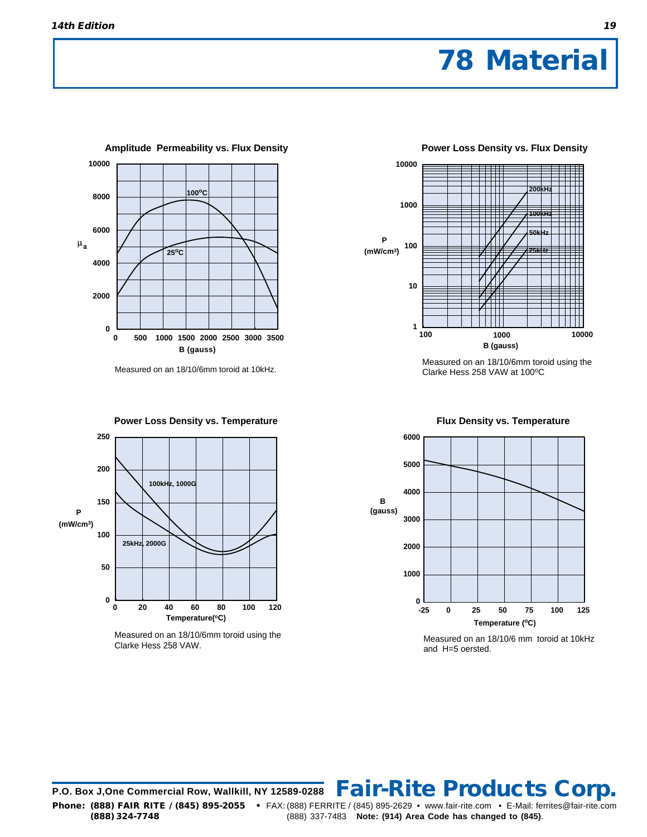

Measured on an 18/10/6mm toroid at 10kHz.



Measured on an 18/10/6mm toroid using the Clarke Hess 258 VAW.



Measured on an 18/10/6mm toroid using the Clarke Hess 258 VAW at 100°C

 **Flux Density vs. Temperature** 



Measured on an 18/10/6 mm toroid at 10kHz and H=5 oersted.

**P.O. Box J,One Commercial Row, Wallkill, NY 12589-0288 Fair-Rite Products Corp. Phone: (888) FAIR RITE / (845) 895-2055 •** FAX: (888) FERRITE / (845) 895-2629 • www.fair-rite.com • E-Mail: ferrites@fair-rite.com **(888) 324-7748** (888) 337-7483 **Note: (914) Area Code has changed to (845)**.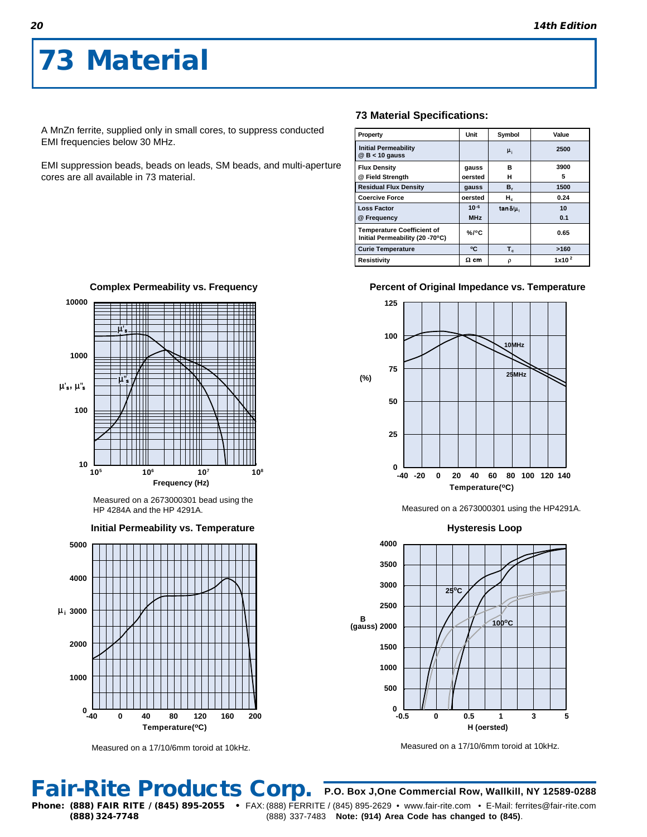A MnZn ferrite, supplied only in small cores, to suppress conducted EMI frequencies below 30 MHz.

EMI suppression beads, beads on leads, SM beads, and multi-aperture cores are all available in 73 material.

### **73 Material Specifications:**

| Property                                                             | Unit        | Symbol           | Value             |
|----------------------------------------------------------------------|-------------|------------------|-------------------|
| <b>Initial Permeability</b><br>$@$ B < 10 gauss                      |             | $\mu_i$          | 2500              |
| <b>Flux Density</b>                                                  | gauss       | R                | 3900              |
| @ Field Strength                                                     | oersted     | н                | 5                 |
| <b>Residual Flux Density</b>                                         | gauss       | в,               | 1500              |
| <b>Coercive Force</b>                                                | oersted     | $H_c$            | 0.24              |
| <b>Loss Factor</b>                                                   | $10-6$      | tan $\delta/\mu$ | 10                |
| @ Frequency                                                          | <b>MHz</b>  |                  | 0.1               |
| <b>Temperature Coefficient of</b><br>Initial Permeability (20 -70°C) | $%$ /°C     |                  | 0.65              |
| <b>Curie Temperature</b>                                             | ۰c          | $T_c$            | >160              |
| <b>Resistivity</b>                                                   | $\Omega$ cm | ρ                | 1x10 <sup>2</sup> |

### **Percent of Original Impedance vs. Temperature**



Measured on a 2673000301 using the HP4291A.



Measured on a 17/10/6mm toroid at 10kHz.

**10000**  $\mu_s$  . The set of  $\mu_s$ 

**Complex Permeability vs. Frequency**



Measured on a 2673000301 bead using the HP 4284A and the HP 4291A.





Measured on a 17/10/6mm toroid at 10kHz.

## **Fair-Rite Products Corp.**

**P.O. Box J,One Commercial Row, Wallkill, NY 12589-0288 Phone: (888) FAIR RITE / (845) 895-2055 •** FAX: (888) FERRITE / (845) 895-2629 • www.fair-rite.com • E-Mail: ferrites@fair-rite.com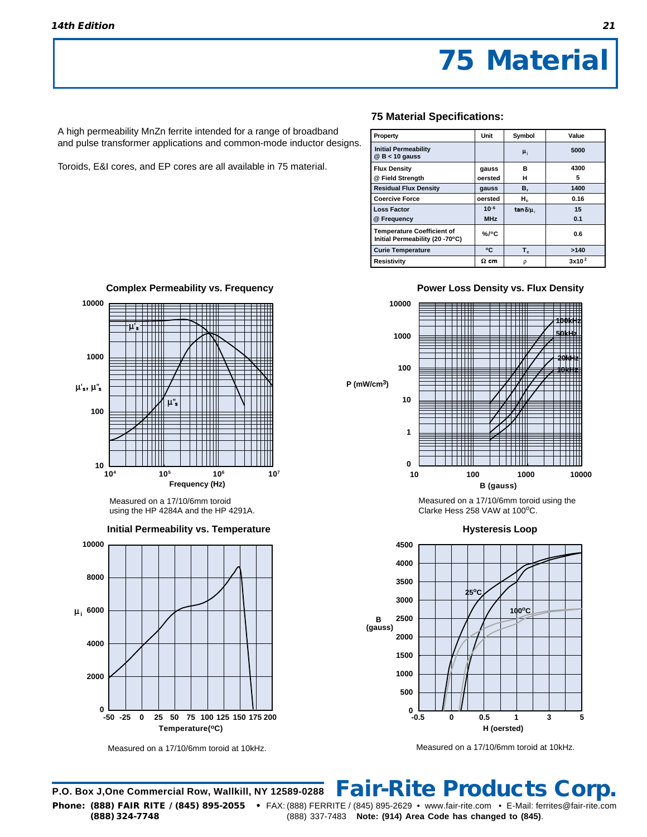A high permeability MnZn ferrite intended for a range of broadband and pulse transformer applications and common-mode inductor designs.

Toroids, E&I cores, and EP cores are all available in 75 material.

### **75 Material Specifications:**

| Property                                                             | Unit        | Symbol            | Value             |
|----------------------------------------------------------------------|-------------|-------------------|-------------------|
| <b>Initial Permeability</b><br>$@$ B < 10 gauss                      |             | $\mu_{1}$         | 5000              |
| <b>Flux Density</b>                                                  | gauss       | в                 | 4300              |
| @ Field Strength                                                     | oersted     | н                 | 5                 |
| <b>Residual Flux Density</b>                                         | gauss       | в,                | 1400              |
| <b>Coercive Force</b>                                                | oersted     | $H_c$             | 0.16              |
| <b>Loss Factor</b>                                                   | $10-6$      | $\tan \delta/\mu$ | 15                |
| @ Frequency                                                          | <b>MHz</b>  |                   | 0.1               |
| <b>Temperature Coefficient of</b><br>Initial Permeability (20 -70°C) | $%$ /°C     |                   | 0.6               |
| <b>Curie Temperature</b>                                             | ۰c          | $T_c$             | >140              |
| Resistivity                                                          | $\Omega$ cm | ρ                 | 3x10 <sup>2</sup> |

**Power Loss Density vs. Flux Density**



Measured on a 17/10/6mm toroid using the Clarke Hess 258 VAW at 100°C.



Measured on a 17/10/6mm toroid at 10kHz.

## 10 L<br>10<sup>4</sup> **Frequency (Hz)** Measured on a 17/10/6mm toroid using the HP 4284A and the HP 4291A. **Hysteresis Loop B (gauss) 104 105 Initial Permeability vs. Temperature** Measured on a 17/10/6mm toroid at 10kHz. **Temperature(oC) 106 107 0 2000 4000 8000 -50 -25 0 25 50 75 100 125 150 175 200**

## **Complex Permeability vs. Frequency**

**10000 1000**  $\mu$ 's,  $\mu$ "s u' **100**



### **P.O. Box J,One Commercial Row, Wallkill, NY 12589-0288 Fair-Rite Products Corp.**

**Phone: (888) FAIR RITE / (845) 895-2055 •** FAX: (888) FERRITE / (845) 895-2629 • www.fair-rite.com • E-Mail: ferrites@fair-rite.com **(888) 324-7748** (888) 337-7483 **Note: (914) Area Code has changed to (845)**.